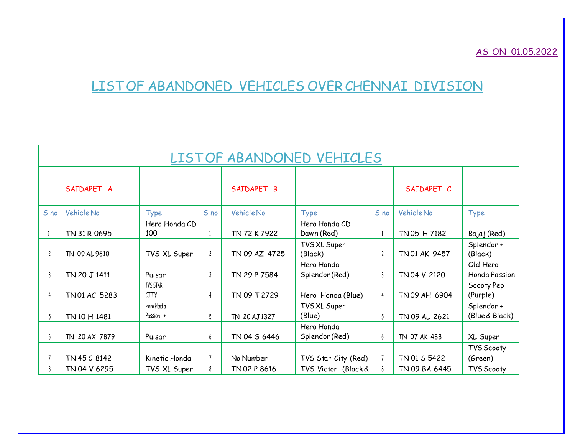## AS ON 01.05.2022

## LISTOF ABANDONED VEHICLES OVER CHENNAI DIVISION

|              | LISTOF ABANDONED VEHICLES |                                |                |               |                              |                         |               |                             |  |  |
|--------------|---------------------------|--------------------------------|----------------|---------------|------------------------------|-------------------------|---------------|-----------------------------|--|--|
|              |                           |                                |                |               |                              |                         |               |                             |  |  |
|              | SAIDAPET A                |                                |                | SAIDAPET B    |                              |                         | SAIDAPET C    |                             |  |  |
|              |                           |                                |                |               |                              |                         |               |                             |  |  |
| S no         | Vehicle No                | <b>Type</b>                    | S no           | Vehicle No    | <b>Type</b>                  | S no                    | Vehicle No    | <b>Type</b>                 |  |  |
|              | TN 31 R 0695              | Hero Honda CD<br>100           |                | TN 72 K 7922  | Hero Honda CD<br>Dawn (Red)  |                         | TN 05 H 7182  | Bajaj (Red)                 |  |  |
| $\mathbf{2}$ | TN 09 AL 9610             | TVS XL Super                   | $\overline{c}$ | TN 09 AZ 4725 | TVS XL Super<br>(Black)      | $\overline{\mathbf{c}}$ | TN 01 AK 9457 | Splendor+<br>(Black)        |  |  |
|              | TN 20 J 1411              | Pulsar                         | 3              | TN 29 P 7584  | Hero Honda<br>Splendor (Red) | 3                       | TN 04 V 2120  | Old Hero<br>Honda Passion   |  |  |
|              | TN 01 AC 5283             | <b>TVS STAR</b><br><b>CITY</b> |                | TN 09 T 2729  | Hero Honda (Blue)            | 4                       | TN 09 AH 6904 | Scooty Pep<br>(Purple)      |  |  |
| 5            | TN 10 H 1481              | Hero Hond a<br>Passion +       | 5              | TN 20 AJ 1327 | TVS XL Super<br>(Blue)       | 5                       | TN 09 AL 2621 | Splendor+<br>(Blue & Black) |  |  |
| <sub>6</sub> | TN 20 AX 7879             | Pulsar                         | 6              | TN 04 S 6446  | Hero Honda<br>Splendor (Red) | 6                       | TN 07 AK 488  | XL Super                    |  |  |
|              |                           |                                |                |               |                              |                         |               | TVS Scooty                  |  |  |
|              | TN 45 C 8142              | Kinetic Honda                  |                | No Number     | TVS Star City (Red)          |                         | TN 01 S 5422  | (Green)                     |  |  |
|              | TN 04 V 6295              | TVS XL Super                   | 8              | TN 02 P 8616  | TVS Victor (Black &          | 8                       | TN 09 BA 6445 | TVS Scooty                  |  |  |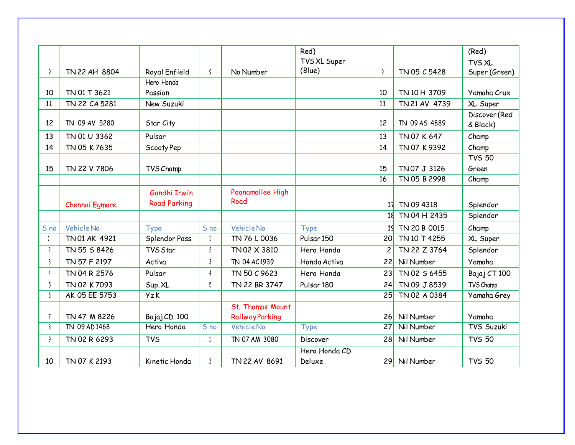|                |                |                     |                |                         | Red)                  |                 |               | (Red)         |
|----------------|----------------|---------------------|----------------|-------------------------|-----------------------|-----------------|---------------|---------------|
|                |                |                     |                |                         | TVS XL Super          |                 |               | TVS XL        |
| 9              | TN 22 AH 8804  | Royal Enfield       | 9              | No Number               | (Blue)                | 9               | TN 05 C 5428  | Super (Green) |
|                |                | Hero Honda          |                |                         |                       |                 |               |               |
| 10             | TN 01 T 3621   | Passion             |                |                         |                       | 10              | TN 10 H 3709  | Yamaha Crux   |
| 11             | TN 22 CA 5281  | New Suzuki          |                |                         |                       | 11              | TN 21 AV 4739 | XL Super      |
|                |                |                     |                |                         |                       |                 |               | Discover (Red |
| 12             | TN 09 AV 5280  | Star City           |                |                         |                       | 12              | TN 09 AS 4889 | & Black)      |
| 13             | TN 01 U 3362   | Pulsar              |                |                         |                       | 13              | TN 07 K 647   | Champ         |
| 14             | TN 05 K 7635   | Scooty Pep          |                |                         |                       | 14              | TN 07 K 9392  | Champ         |
|                |                |                     |                |                         |                       |                 |               | <b>TVS 50</b> |
| 15             | TN 22 V 7806   | TVS Champ           |                |                         |                       | 15              | TN 07 J 3126  | Green         |
|                |                |                     |                |                         |                       | 16              | TN 05 B 2998  | Champ         |
|                |                | Gandhi Irwin        |                | Poonamallee High        |                       |                 |               |               |
|                | Chennai Egmore | <b>Road Parking</b> |                | Road                    |                       | 17              | TN 09 4318    | Splendor      |
|                |                |                     |                |                         |                       | 18              | TN 04 H 2435  | Splendor      |
| S no           | Vehicle No     | <b>Type</b>         | S no           | Vehicle No              | Type                  | 1 <sup>1</sup>  | TN 20 B 0015  | Champ         |
|                | TN 01 AK 4921  | Splendor Pass       | 1              | TN 76 L 0036            | Pulsar <sub>150</sub> | 20 <sub>l</sub> | TN 10 T 4255  | XL Super      |
| $\overline{c}$ | TN 55 S 8426   | TVS Star            | $\overline{c}$ | TN 02 X 3810            | Hero Honda            | $\overline{c}$  | TN 22 Z 3764  | Splendor      |
| $\mathsf{3}$   | TN 57 F 2197   | Activa              | $\mathsf{3}$   | TN 04 AC1939            | Honda Activa          | 22              | Nil Number    | Yamaha        |
| 4              | TN 04 R 2576   | Pulsar              | 4              | TN 50 C 9623            | Hero Honda            | 23              | TN 02 S 6455  | Bajaj CT 100  |
| 5              | TN 02 K 7093   | Sup. XL             | 5              | TN 22 BR 3747           | Pulsar <sub>180</sub> | 24              | TN 09 J 8539  | TVS Champ     |
| 6              | AK 05 EE 5753  | <b>YzK</b>          |                |                         |                       | 25              | TN 02 A 0384  | Yamaha Grey   |
|                |                |                     |                | <b>St. Thomas Mount</b> |                       |                 |               |               |
|                | TN 47 M 8226   | Bajaj CD 100        |                | <b>RailwayParking</b>   |                       | 26              | Nil Number    | Yamaha        |
| 8              | TN 09 AD 1468  | Hero Honda          | S no           | <b>Vehicle No</b>       | <b>Type</b>           | 27              | Nil Number    | TVS Suzuki    |
| 9              | TN 02 R 6293   | <b>TVS</b>          | 1              | TN 07 AM 3080           | Discover              | 28              | Nil Number    | <b>TVS 50</b> |
|                |                |                     |                |                         | Hero Honda CD         |                 |               |               |
| 10             | TN 07 K 2193   | Kinetic Honda       | $\mathbf{2}$   | TN 22 AV 8691           | Deluxe                | 29              | Nil Number    | <b>TVS 50</b> |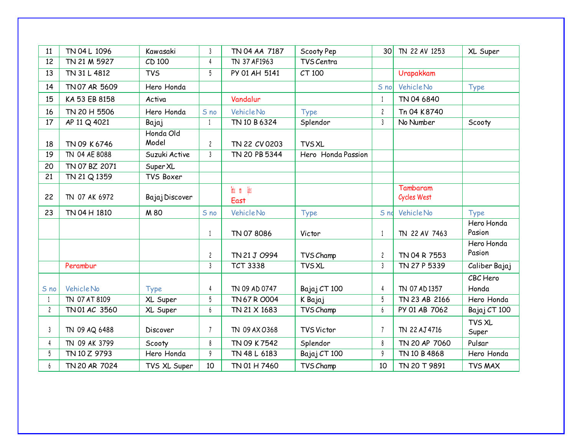| 11             | TN 04 L 1096      | Kawasaki           | $\overline{3}$ | TN 04 AA 7187        | Scooty Pep         | 30l             | TN 22 AV 1253           | XL Super               |
|----------------|-------------------|--------------------|----------------|----------------------|--------------------|-----------------|-------------------------|------------------------|
| 12             | TN 21 M 5927      | CD 100             | 4              | TN 37 AF1963         | TVS Centra         |                 |                         |                        |
| 13             | TN 31 L 4812      | <b>TVS</b>         | 5              | PY 01 AH 5141        | CT 100             |                 | Urapakkam               |                        |
| 14             | TN 07 AR 5609     | Hero Honda         |                |                      |                    | S no            | Vehicle No              | <b>Type</b>            |
| 15             | KA 53 EB 8158     | Activa             |                | Vandalur             |                    |                 | TN 04 6840              |                        |
| 16             | TN 20 H 5506      | Hero Honda         | S no           | Vehicle No           | <b>Type</b>        | $\overline{c}$  | Tn 04 K8740             |                        |
| 17             | AP 11 Q 4021      | Bajaj              | 1              | TN 10 B 6324         | Splendor           | $\mathsf{3}$    | No Number               | Scooty                 |
| 18             | TN 09 K 6746      | Honda Old<br>Model | $\overline{c}$ | TN 22 CV 0203        | <b>TVS XL</b>      |                 |                         |                        |
| 19             | TN 04 AE 8088     | Suzuki Active      | $\mathbf{3}$   | TN 20 PB 5344        | Hero Honda Passion |                 |                         |                        |
| 20             | TN 07 BZ 2071     | Super XL           |                |                      |                    |                 |                         |                        |
| 21             | TN 21 Q 1359      | TVS Boxer          |                |                      |                    |                 |                         |                        |
| 22             | TN 07 AK 6972     | Bajaj Discover     |                | Todo no Goes<br>East |                    |                 | Tambaram<br>Cycles West |                        |
|                |                   |                    |                |                      |                    |                 |                         |                        |
| 23             | TN 04 H 1810      | M 80               | S no           | Vehicle No           | Type               | S <sub>nd</sub> | Vehicle No              | <b>Type</b>            |
|                |                   |                    |                | TN 07 8086           | Victor             | $\overline{1}$  | TN 22 AV 7463           | Hero Honda<br>Pasion   |
|                |                   |                    | $\overline{c}$ | TN 21 J 0994         | TVS Champ          | $\overline{c}$  | TN 04 R 7553            | Hero Honda<br>Pasion   |
|                | Perambur          |                    | 3              | <b>TCT 3338</b>      | <b>TVS XL</b>      | $\mathsf{3}$    | TN 27 P 5339            | Caliber Bajaj          |
|                |                   |                    |                |                      |                    |                 |                         | CBC Hero               |
| S no           | <b>Vehicle No</b> | <b>Type</b>        | 4              | TN 09 AD 0747        | Bajaj CT 100       | $\overline{4}$  | TN 07 AD 1357           | Honda                  |
|                | TN 07 AT 8109     | XL Super           | 5              | TN 67 R 0004         | K Bajaj            | 5               | TN 23 AB 2166           | Hero Honda             |
| $\overline{c}$ | TN 01 AC 3560     | XL Super           | 6              | TN 21 X 1683         | TVS Champ          | 6               | PY 01 AB 7062           | Bajaj CT 100           |
| 3              | TN 09 AQ 6488     | Discover           | 7              | TN 09 AX 0368        | <b>TVS Victor</b>  | $\overline{7}$  | TN 22 AJ 4716           | <b>TVS XL</b><br>Super |
| 4              | TN 09 AK 3799     | Scooty             | 8              | TN 09 K7542          | Splendor           | 8               | TN 20 AP 7060           | Pulsar                 |
| 5              | TN 10 Z 9793      | Hero Honda         | 9              | TN 48 L 6183         | Bajaj CT 100       | 9               | TN 10 B 4868            | Hero Honda             |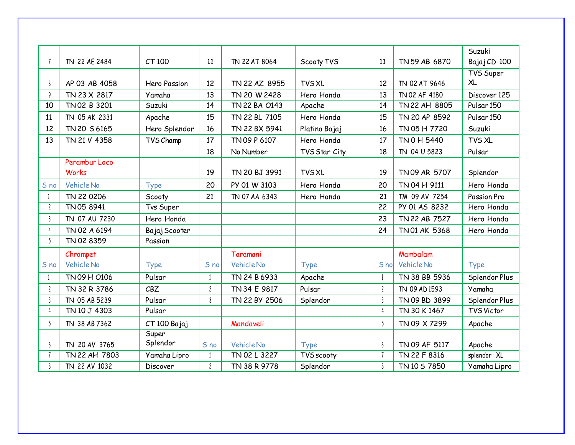|                         |               |               |                |               |               |                |               | Suzuki                |
|-------------------------|---------------|---------------|----------------|---------------|---------------|----------------|---------------|-----------------------|
| $\overline{7}$          | TN 22 AE 2484 | CT 100        | 11             | TN 22 AT 8064 | Scooty TVS    | 11             | TN 59 AB 6870 | Bajaj CD 100          |
|                         |               |               |                |               |               |                |               | TVS Super             |
| 8                       | AP 03 AB 4058 | Hero Passion  | 12             | TN 22 AZ 8955 | <b>TVS XL</b> | 12             | TN 02 AT 9646 | XL                    |
| 9                       | TN 23 X 2817  | Yamaha        | 13             | TN 20 W 2428  | Hero Honda    | 13             | TN 02 AF 4180 | Discover 125          |
| 10                      | TN 02 B 3201  | Suzuki        | 14             | TN 22 BA 0143 | Apache        | 14             | TN 22 AH 8805 | Pulsar <sub>150</sub> |
| 11                      | TN 05 AK 2331 | Apache        | 15             | TN 22 BL 7105 | Hero Honda    | 15             | TN 20 AP 8592 | Pulsar <sub>150</sub> |
| 12                      | TN 20 S 6165  | Hero Splendor | 16             | TN 22 BX 5941 | Platina Bajaj | 16             | TN 05 H 7720  | Suzuki                |
| 13                      | TN 21 V 4358  | TVS Champ     | 17             | TN 09 P 6107  | Hero Honda    | 17             | TN 0 H 5440   | TVS XL                |
|                         |               |               | 18             | No Number     | TVS Star City | 18             | TN 04 U 5823  | Pulsar                |
|                         | Perambur Loco |               |                |               |               |                |               |                       |
|                         | <b>Works</b>  |               | 19             | TN 20 BJ 3991 | <b>TVS XL</b> | 19             | TN 09 AR 5707 | Splendor              |
| S no                    | Vehicle No    | <b>Type</b>   | 20             | PY 01 W 3103  | Hero Honda    | 20             | TN 04 H 9111  | Hero Honda            |
|                         | TN 22 0206    | Scooty        | 21             | TN 07 AA 6343 | Hero Honda    | 21             | TM 09 AV 7254 | Passion Pro           |
| $\mathbf{2}$            | TN 05 8941    | Tvs Super     |                |               |               | 22             | PY 01 AS 8232 | Hero Honda            |
| 3                       | TN 07 AU 7230 | Hero Honda    |                |               |               | 23             | TN 22 AB 7527 | Hero Honda            |
| 4                       | TN 02 A 6194  | Bajaj Scooter |                |               |               | 24             | TN 01 AK 5368 | Hero Honda            |
| 5                       | TN 02 8359    | Passion       |                |               |               |                |               |                       |
|                         | Chrompet      |               |                | Taramani      |               |                | Mambalam      |                       |
| S no                    | Vehicle No    | <b>Type</b>   | S no           | Vehicle No    | <b>Type</b>   | S no           | Vehicle No    | <b>Type</b>           |
| 1                       | TN 09 H 0106  | Pulsar        |                | TN 24 B 6933  | Apache        |                | TN 38 BB 5936 | Splendor Plus         |
| $\overline{\mathbf{c}}$ | TN 32 R 3786  | CBZ           | $\overline{c}$ | TN 34 E 9817  | Pulsar        | $\overline{c}$ | TN 09 AD 1593 | Yamaha                |
| $\mathfrak{z}$          | TN 05 AB 5239 | Pulsar        | $\mathsf{3}$   | TN 22 BY 2506 | Splendor      | 3              | TN 09 BD 3899 | Splendor Plus         |
| 4                       | TN 10 J 4303  | Pulsar        |                |               |               | 4              | TN 30 K 1467  | <b>TVS Victor</b>     |
| 5                       | TN 38 AB 7362 | CT 100 Bajaj  |                | Mandaveli     |               | 5              | TN 09 X 7299  | Apache                |
|                         |               | Super         |                |               |               |                |               |                       |
| 6                       | TN 20 AV 3765 | Splendor      | S no           | Vehicle No    | <b>Type</b>   | 6              | TN 09 AF 5117 | Apache                |
|                         | TN 22 AH 7803 | Yamaha Lipro  |                | TN 02 L 3227  | TVS scooty    | $\overline{7}$ | TN 22 F 8316  | splendor XL           |
| 8                       | TN 22 AV 1032 | Discover      | $\overline{c}$ | TN 38 R 9778  | Splendor      | 8              | TN 10 S 7850  | Yamaha Lipro          |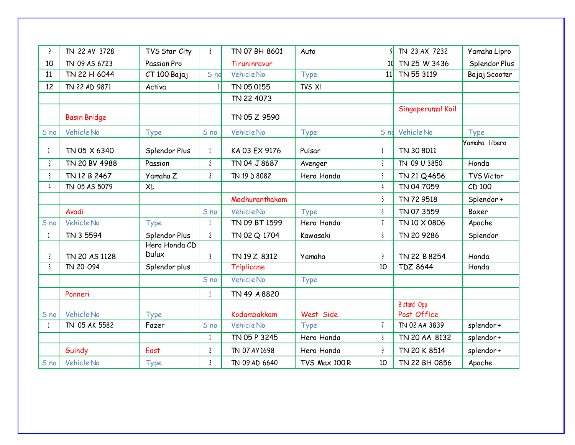| 9              | TN 22 AV 3728       | TVS Star City          | $\mathbf{3}$   | TN 07 BH 8601  | Auto         |                | TN 23 AX 7232              | Yamaha Lipro      |
|----------------|---------------------|------------------------|----------------|----------------|--------------|----------------|----------------------------|-------------------|
| 10             | TN 09 AS 6723       | <b>Passion Pro</b>     |                | Tiruninravur   |              | 10             | TN 25 W 3436               | Splendor Plus     |
| 11             | TN 22 H 6044        | CT 100 Bajaj           | S no           | Vehicle No     | Type         | 11             | TN 55 3119                 | Bajaj Scooter     |
| 12             | TN 22 AD 9871       | Activa                 |                | TN 05 0155     | TVS XI       |                |                            |                   |
|                |                     |                        |                | TN 22 4073     |              |                |                            |                   |
|                | <b>Basin Bridge</b> |                        |                | TN 05 Z 9590   |              |                | Singaperumal Koil          |                   |
| S no           | Vehicle No          | <b>Type</b>            | S no           | Vehicle No     | <b>Type</b>  | S nd           | Vehicle No                 | <b>Type</b>       |
| 1              | TN 05 X 6340        | Splendor Plus          | 1              | KA 03 EX 9176  | Pulsar       | 1              | TN 30 8011                 | Yamaha libero     |
| $\mathbf{2}$   | TN 20 BV 4988       | Passion                | $\overline{c}$ | TN 04 J 8687   | Avenger      | $\overline{c}$ | TN 09 U 3850               | Honda             |
| $\mathfrak{z}$ | TN 12 B 2467        | Yamaha Z               | $\mathsf{3}$   | TN 19 D 8082   | Hero Honda   | 3              | TN 21 Q 4656               | <b>TVS Victor</b> |
| 4              | TN 05 AS 5079       | <b>XL</b>              |                |                |              | 4              | TN 04 7059                 | CD 100            |
|                |                     |                        |                | Madhuranthakam |              | 5              | TN 72 9518                 | Splendor+         |
|                | Avadi               |                        | S no           | Vehicle No     | Type         | 6              | TN 07 3559                 | Boxer             |
| S no           | <b>Vehicle No</b>   | <b>Type</b>            | $\mathbf{1}$   | TN 09 BT 1599  | Hero Honda   | $\overline{7}$ | TN 10 X 0806               | Apache            |
| 1              | TN 3 5594           | Splendor Plus          | $\mathbf{2}$   | TN 02 Q 1704   | Kawasaki     | 8              | TN 20 9286                 | Splendor          |
| $\overline{c}$ | TN 20 AS 1128       | Hero Honda CD<br>Dulux | $\mathsf{3}$   | TN 19 Z 8312   | Yamaha       | 9              | TN 22 B 8254               | Honda             |
| $\mathsf{3}$   | TN 20 094           | Splendor plus          |                | Triplicane     |              | 10             | <b>TDZ 8644</b>            | Honda             |
|                |                     |                        | S no           | Vehicle No     | Type         |                |                            |                   |
|                | Ponneri             |                        |                | TN 49 A 8820   |              |                |                            |                   |
| S no           | <b>Vehicle No</b>   | <b>Type</b>            |                | Kodambakkam    | West Side    |                | B stand Opp<br>Post Office |                   |
|                | TN 05 AK 5582       | Fazer                  | S no           | Vehicle No     | <b>Type</b>  | $\overline{7}$ | TN 02 AA 3839              | splendor+         |
|                |                     |                        | $\mathbf{1}$   | TN 05 P 3245   | Hero Honda   | 8              | TN 20 AA 8132              | splendor+         |
|                | Guindy              | East                   | $\mathbf{2}$   | TN 07 AY 1698  | Hero Honda   | 9              | TN 20 K 8514               | splendor+         |
| S no           | <b>Vehicle No</b>   | <b>Type</b>            | 3              | TN 09 AD 6640  | TVS Max 100R | 10             | TN 22 BH 0856              | Apache            |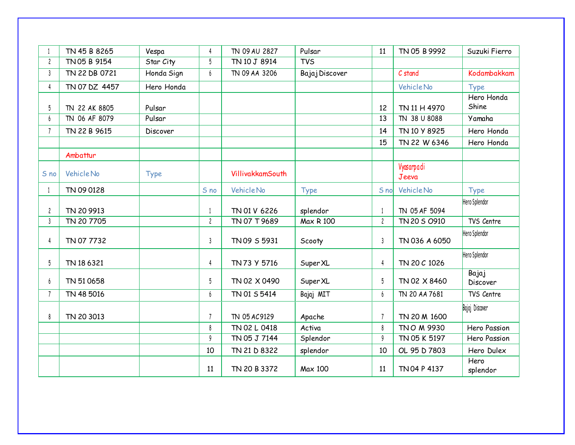|                         | TN 45 B 8265      | Vespa       | 4              | TN 09 AU 2827    | Pulsar         | 11             | TN 05 B 9992        | Suzuki Fierro            |
|-------------------------|-------------------|-------------|----------------|------------------|----------------|----------------|---------------------|--------------------------|
| $\overline{c}$          | TN 05 B 9154      | Star City   | 5              | TN 10 J 8914     | <b>TVS</b>     |                |                     |                          |
| $\mathfrak{Z}$          | TN 22 DB 0721     | Honda Sign  | 6              | TN 09 AA 3206    | Bajaj Discover |                | C stand             | Kodambakkam              |
| 4                       | TN 07 DZ 4457     | Hero Honda  |                |                  |                |                | Vehicle No          | Type                     |
| 5                       | TN 22 AK 8805     | Pulsar      |                |                  |                | 12             | TN 11 H 4970        | Hero Honda<br>Shine      |
| 6                       | TN 06 AF 8079     | Pulsar      |                |                  |                | 13             | TN 38 U 8088        | Yamaha                   |
| $\overline{7}$          | TN 22 B 9615      | Discover    |                |                  |                | 14             | TN 10 Y 8925        | Hero Honda               |
|                         |                   |             |                |                  |                | 15             | TN 22 W 6346        | Hero Honda               |
|                         | Ambattur          |             |                |                  |                |                |                     |                          |
| S no                    | <b>Vehicle No</b> | <b>Type</b> |                | VillivakkamSouth |                |                | Vyasarpadi<br>Jeeva |                          |
| 1                       | TN 09 0128        |             | S no           | Vehicle No       | <b>Type</b>    | S no           | Vehicle No          | Type                     |
| $\overline{\mathbf{c}}$ | TN 20 9913        |             |                | TN 01 V 6226     | splendor       | $\overline{1}$ | TN 05 AF 5094       | Hero Splendor            |
| $\mathfrak{z}$          | TN 20 7705        |             | $\overline{c}$ | TN 07 T 9689     | Max R 100      | $\overline{c}$ | TN 20 S 0910        | TVS Centre               |
| 4                       | TN 07 7732        |             | $\mathbf{3}$   | TN 09 S 5931     | Scooty         | $\mathsf{3}$   | TN 036 A 6050       | Hero Splendor            |
| 5                       | TN 18 6321        |             | 4              | TN73 Y 5716      | Super XL       | $\overline{4}$ | TN 20 C 1026        | Hero Splendor            |
| 6                       | TN 510658         |             | 5              | TN 02 X 0490     | Super XL       | 5              | TN 02 X 8460        | Bajaj<br><b>Discover</b> |
| $\overline{7}$          | TN 48 5016        |             | 6              | TN 01 S 5414     | Bajaj MIT      | 6              | TN 20 AA 7681       | TVS Centre               |
| 8                       | TN 20 3013        |             |                | TN 05 AC9129     | Apache         | $\overline{7}$ | TN 20 M 1600        | Bajaj Discover           |
|                         |                   |             | 8              | TN 02 L 0418     | Activa         | 8              | TNO M 9930          | Hero Passion             |
|                         |                   |             | 9              | TN 05 J 7144     | Splendor       | 9              | TN 05 K 5197        | Hero Passion             |
|                         |                   |             | 10             | TN 21 D 8322     | splendor       | 10             | OL 95 D 7803        | Hero Dulex               |
|                         |                   |             | 11             | TN 20 B 3372     | Max 100        | 11             | TN 04 P 4137        | Hero<br>splendor         |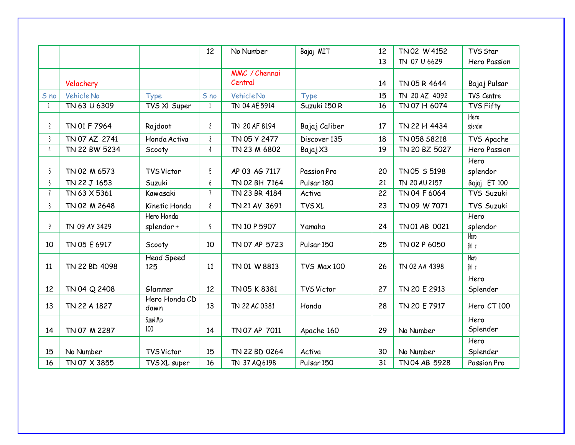|                |               |                          | 12           | No Number                | Bajaj MIT             | 12 | TN 02 W 4152  | TVS Star          |
|----------------|---------------|--------------------------|--------------|--------------------------|-----------------------|----|---------------|-------------------|
|                |               |                          |              |                          |                       | 13 | TN 07 U 6629  | Hero Passion      |
|                | Velachery     |                          |              | MMC / Chennai<br>Central |                       | 14 | TN 05 R 4644  | Bajaj Pulsar      |
| S no           | Vehicle No    | <b>Type</b>              | S no         | Vehicle No               | Type                  | 15 | TN 20 AZ 4092 | TVS Centre        |
| 1              | TN 63 U 6309  | TVS XI Super             | $\mathbf{1}$ | TN 04 AE 5914            | Suzuki 150 R          | 16 | TN 07 H 6074  | TVS Fifty         |
| $\overline{c}$ | TN 01 F 7964  | Rajdoot                  | $\mathbf{2}$ | TN 20 AF 8194            | Bajaj Caliber         | 17 | TN 22 H 4434  | Hero<br>splend or |
| 3              | TN 07 AZ 2741 | Honda Activa             | 3            | TN 05 Y 2477             | Discover 135          | 18 | TN 058 S8218  | TVS Apache        |
| 4              | TN 22 BW 5234 | Scooty                   | 4            | TN 23 M 6802             | Bajaj X3              | 19 | TN 20 BZ 5027 | Hero Passion      |
|                |               |                          |              |                          |                       |    |               | Hero              |
| 5              | TN 02 M 6573  | <b>TVS Victor</b>        | 5            | AP 03 AG 7117            | Passion Pro           | 20 | TN 05 S 5198  | splendor          |
| 6              | TN 22 J 1653  | Suzuki                   |              | TN 02 BH 7164            | Pulsar <sub>180</sub> | 21 | TN 20 AU 2157 | Bajaj ET 100      |
| $\overline{7}$ | TN 63 X 5361  | Kawasaki                 | $7^{\circ}$  | TN 23 BR 4184            | Activa                | 22 | TN 04 F 6064  | TVS Suzuki        |
| 8              | TN 02 M 2648  | Kinetic Honda            | 8            | TN 21 AV 3691            | <b>TVS XL</b>         | 23 | TN 09 W 7071  | TVS Suzuki        |
|                |               | Hero Honda               |              |                          |                       |    |               | Hero              |
| 9              | TN 09 AY 3429 | splendor+                | 9            | TN 10 P 5907             | Yamaha                | 24 | TN 01 AB 0021 | splendor          |
| 10             | TN 05 E 6917  | Scooty                   | 10           | TN 07 AP 5723            | Pulsar <sub>150</sub> | 25 | TN 02 P 6050  | Hero<br>Sled in   |
| 11             | TN 22 BD 4098 | <b>Head Speed</b><br>125 | 11           | TN 01 W 8813             | <b>TVS Max 100</b>    | 26 | TN 02 AA 4398 | Hero<br>\$led or  |
| 12             | TN 04 Q 2408  | Glammer                  | 12           | TN 05 K 8381             | <b>TVS Victor</b>     | 27 | TN 20 E 2913  | Hero<br>Splender  |
| 13             | TN 22 A 1827  | Hero Honda CD<br>dawn    | 13           | TN 22 AC 0381            | Honda                 | 28 | TN 20 E 7917  | Hero CT 100       |
| 14             | TN 07 M 2287  | Suzuki Max<br>100        | 14           | TN 07 AP 7011            | Apache 160            | 29 | No Number     | Hero<br>Splender  |
| 15             | No Number     | <b>TVS Victor</b>        | 15           | TN 22 BD 0264            | Activa                | 30 | No Number     | Hero<br>Splender  |
| 16             | TN 07 X 3855  | TVS XL super             | 16           | TN 37 AQ6198             | Pulsar <sub>150</sub> | 31 | TN 04 AB 5928 | Passion Pro       |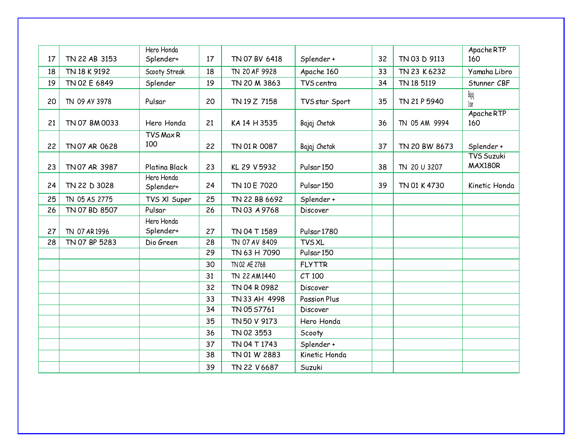| 17 | TN 22 AB 3153 | Hero Honda           | 17 | TN 07 BV 6418 |                        | 32 | TN 03 D 9113  | Apache RTP<br>160            |
|----|---------------|----------------------|----|---------------|------------------------|----|---------------|------------------------------|
|    |               | Splender+            |    |               | Splender +             |    |               |                              |
| 18 | TN 18 K 9192  | Scooty Streak        | 18 | TN 20 AF 9928 | Apache 160             | 33 | TN 23 K 6232  | Yamaha Libro                 |
| 19 | TN 02 E 6849  | Splender             | 19 | TN 20 M 3863  | TVS centra             | 34 | TN 18 5119    | Stunner CBF                  |
| 20 | TN 09 AY 3978 | Pulsar               | 20 | TN 19 Z 7158  | TVS star Sport         | 35 | TN 21 P 5940  | Bajaj<br>bisov               |
| 21 | TN 07 BM 0033 | Hero Honda           | 21 | KA 14 H 3535  | Bajaj Chetak           | 36 | TN 05 AM 9994 | Apache RTP<br>160            |
|    |               | <b>TVS Max R</b>     |    |               |                        |    |               |                              |
| 22 | TN 07 AR 0628 | 100                  | 22 | TN 01 R 0087  | Bajaj Chetak           | 37 | TN 20 BW 8673 | Splender +                   |
| 23 | TN 07 AR 3987 | <b>Platina Black</b> | 23 | KL 29 V 5932  | Pulsar <sub>150</sub>  | 38 | TN 20 U 3207  | <b>TVS Suzuki</b><br>MAX180R |
|    |               | Hero Honda           |    |               |                        |    |               |                              |
| 24 | TN 22 D 3028  | Splender+            | 24 | TN 10 E 7020  | Pulsar <sub>150</sub>  | 39 | TN 01 K 4730  | Kinetic Honda                |
| 25 | TN 05 AS 2775 | TVS XI Super         | 25 | TN 22 BB 6692 | Splender+              |    |               |                              |
| 26 | TN 07 BD 8507 | Pulsar               | 26 | TN 03 A 9768  | Discover               |    |               |                              |
|    |               | Hero Honda           |    |               |                        |    |               |                              |
| 27 | TN 07 AR 1996 | Splender+            | 27 | TN 04 T 1589  | Pulsar <sub>1780</sub> |    |               |                              |
| 28 | TN 07 BP 5283 | Dio Green            | 28 | TN 07 AV 8409 | <b>TVS XL</b>          |    |               |                              |
|    |               |                      | 29 | TN 63 H 7090  | Pulsar <sub>150</sub>  |    |               |                              |
|    |               |                      | 30 | TN 02 AE 2768 | <b>FLYTTR</b>          |    |               |                              |
|    |               |                      | 31 | TN 22 AM1440  | CT 100                 |    |               |                              |
|    |               |                      | 32 | TN 04 R 0982  | Discover               |    |               |                              |
|    |               |                      | 33 | TN 33 AH 4998 | <b>Passion Plus</b>    |    |               |                              |
|    |               |                      | 34 | TN 05 S7761   | Discover               |    |               |                              |
|    |               |                      | 35 | TN 50 V 9173  | Hero Honda             |    |               |                              |
|    |               |                      | 36 | TN 02 3553    | Scooty                 |    |               |                              |
|    |               |                      | 37 | TN 04 T 1743  | Splender +             |    |               |                              |
|    |               |                      | 38 | TN 01 W 2883  | Kinetic Honda          |    |               |                              |
|    |               |                      | 39 | TN 22 V 6687  | Suzuki                 |    |               |                              |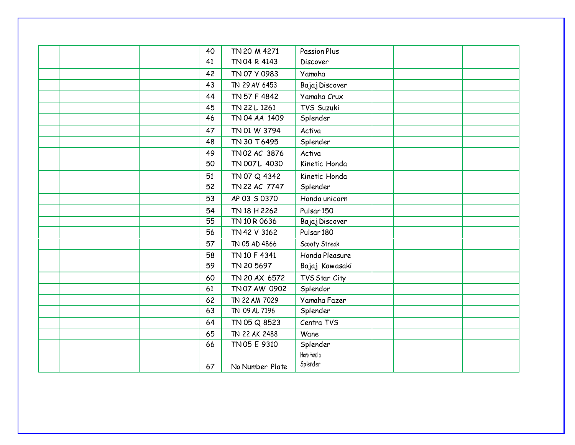| 40 | TN 20 M 4271    | <b>Passion Plus</b>   |  |
|----|-----------------|-----------------------|--|
| 41 | TN 04 R 4143    | Discover              |  |
| 42 | TN 07 Y 0983    | Yamaha                |  |
| 43 | TN 29 AV 6453   | Bajaj Discover        |  |
| 44 | TN 57 F 4842    | Yamaha Crux           |  |
| 45 | TN 22 L 1261    | TVS Suzuki            |  |
| 46 | TN 04 AA 1409   | Splender              |  |
| 47 | TN 01 W 3794    | Activa                |  |
| 48 | TN 30 T 6495    | Splender              |  |
| 49 | TN 02 AC 3876   | Activa                |  |
| 50 | TN 007L 4030    | Kinetic Honda         |  |
| 51 | TN 07 Q 4342    | Kinetic Honda         |  |
| 52 | TN 22 AC 7747   | Splender              |  |
| 53 | AP 03 S 0370    | Honda unicorn         |  |
| 54 | TN 18 H 2262    | Pulsar <sub>150</sub> |  |
| 55 | TN 10 R 0636    | Bajaj Discover        |  |
| 56 | TN 42 V 3162    | Pulsar <sub>180</sub> |  |
| 57 | TN 05 AD 4866   | Scooty Streak         |  |
| 58 | TN 10 F 4341    | Honda Pleasure        |  |
| 59 | TN 20 5697      | Bajaj Kawasaki        |  |
| 60 | TN 20 AX 6572   | TVS Star City         |  |
| 61 | TN 07 AW 0902   | Splendor              |  |
| 62 | TN 22 AM 7029   | Yamaha Fazer          |  |
| 63 | TN 09 AL 7196   | Splender              |  |
| 64 | TN 05 Q 8523    | Centra TVS            |  |
| 65 | TN 22 AK 2488   | Wane                  |  |
| 66 | TN 05 E 9310    | Splender              |  |
|    |                 | Hero Hond a           |  |
| 67 | No Number Plate | Splender              |  |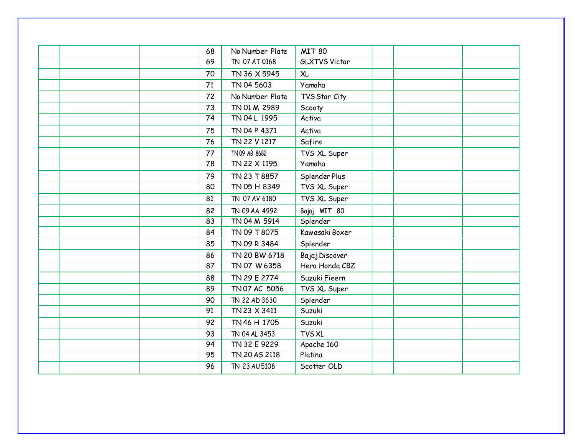| 68 | No Number Plate | <b>MIT 80</b>        |  |
|----|-----------------|----------------------|--|
| 69 | TN 07 AT 0168   | <b>GLXTVS Victor</b> |  |
|    |                 |                      |  |
| 70 | TN 36 X 5945    | <b>XL</b>            |  |
| 71 | TN 04 5603      | Yamaha               |  |
| 72 | No Number Plate | TVS Star City        |  |
| 73 | TN 01 M 2989    | Scooty               |  |
| 74 | TN 04 L 1995    | Activa               |  |
| 75 | TN 04 P 4371    | Activa               |  |
| 76 | TN 22 V 1217    | Safire               |  |
| 77 | TN 09 AB 8682   | TVS XL Super         |  |
| 78 | TN 22 X 1195    | Yamaha               |  |
| 79 | TN 23 T 8857    | Splender Plus        |  |
| 80 | TN 05 H 8349    | TVS XL Super         |  |
| 81 | TN 07 AV 6180   | TVS XL Super         |  |
| 82 | TN 09 AA 4992   | Bajaj MIT 80         |  |
| 83 | TN 04 M 5914    | Splender             |  |
| 84 | TN 09 T 8075    | Kawasaki Boxer       |  |
| 85 | TN 09 R 3484    | Splender             |  |
| 86 | TN 20 BW 6718   | Bajaj Discover       |  |
| 87 | TN 07 W 6358    | Hero Honda CBZ       |  |
| 88 | TN 29 E 2774    | Suzuki Fieern        |  |
| 89 | TN 07 AC 5056   | TVS XL Super         |  |
| 90 | TN 22 AD 3630   | Splender             |  |
| 91 | TN 23 X 3411    | Suzuki               |  |
| 92 | TN 46 H 1705    | Suzuki               |  |
| 93 | TN 04 AL 3453   | <b>TVS XL</b>        |  |
| 94 | TN 32 E 9229    | Apache 160           |  |
| 95 | TN 20 AS 2118   | Platina              |  |
| 96 | TN 23 AU 5108   | Scotter OLD          |  |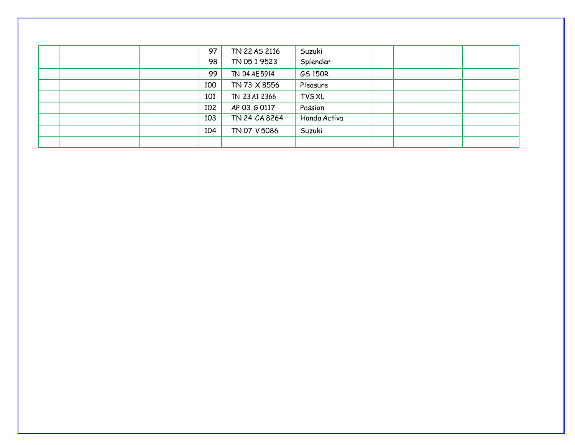|  | 97  | TN 22 AS 2116 | Suzuki         |  |  |
|--|-----|---------------|----------------|--|--|
|  | 98  | TN 05 1 9523  | Splender       |  |  |
|  | 99  | TN 04 AE 5914 | <b>GS 150R</b> |  |  |
|  | 100 | TN 73 X 8556  | Pleasure       |  |  |
|  | 101 | TN 23 A1 2366 | <b>TVS XL</b>  |  |  |
|  | 102 | AP 03 G 0117  | Passion        |  |  |
|  | 103 | TN 24 CA 8264 | Honda Activa   |  |  |
|  | 104 | TN 07 V 5086  | Suzuki         |  |  |
|  |     |               |                |  |  |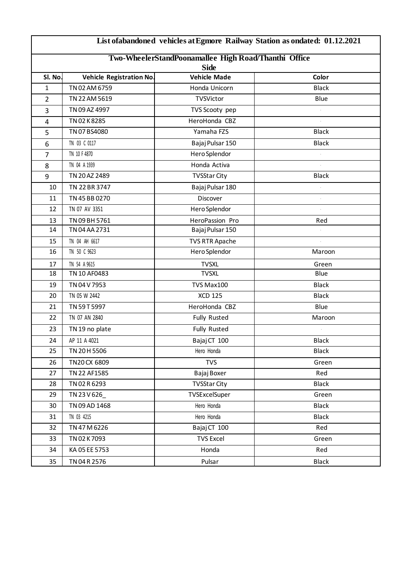| List of a bandoned vehicles at Egmore Railway Station as ondated: 01.12.2021 |                                 |                                                      |              |  |  |  |  |  |  |  |  |
|------------------------------------------------------------------------------|---------------------------------|------------------------------------------------------|--------------|--|--|--|--|--|--|--|--|
|                                                                              |                                 | Two-WheelerStandPoonamallee High Road/Thanthi Office |              |  |  |  |  |  |  |  |  |
|                                                                              | <b>Side</b>                     |                                                      |              |  |  |  |  |  |  |  |  |
| SI. No.                                                                      | <b>Vehicle Registration No.</b> | <b>Vehicle Made</b>                                  | Color        |  |  |  |  |  |  |  |  |
| $\mathbf{1}$                                                                 | TN 02 AM 6759                   | Honda Unicorn                                        | <b>Black</b> |  |  |  |  |  |  |  |  |
| $\overline{2}$                                                               | TN 22 AM 5619                   | TVSVictor                                            | Blue         |  |  |  |  |  |  |  |  |
| 3                                                                            | TN 09 AZ 4997                   | TVS Scooty pep                                       |              |  |  |  |  |  |  |  |  |
| 4                                                                            | TN 02 K 8285                    | HeroHonda CBZ                                        |              |  |  |  |  |  |  |  |  |
| 5                                                                            | TN 07 BS4080                    | Yamaha FZS                                           | <b>Black</b> |  |  |  |  |  |  |  |  |
| 6                                                                            | TN 03 C 0117                    | Bajaj Pulsar 150                                     | <b>Black</b> |  |  |  |  |  |  |  |  |
| $\overline{7}$                                                               | TN 10 F 4870                    | Hero Splendor                                        |              |  |  |  |  |  |  |  |  |
| 8                                                                            | TN 04 A 1939                    | Honda Activa                                         |              |  |  |  |  |  |  |  |  |
| 9                                                                            | TN 20 AZ 2489                   | <b>TVSStar City</b>                                  | <b>Black</b> |  |  |  |  |  |  |  |  |
| 10                                                                           | TN 22 BR 3747                   | Bajaj Pulsar 180                                     |              |  |  |  |  |  |  |  |  |
| 11                                                                           | TN 45 BB 0270                   | Discover                                             |              |  |  |  |  |  |  |  |  |
| 12                                                                           | TN 07 AV 3351                   | Hero Splendor                                        |              |  |  |  |  |  |  |  |  |
| 13                                                                           | TN 09 BH 5761                   | HeroPassion Pro                                      | Red          |  |  |  |  |  |  |  |  |
| 14                                                                           | TN 04 AA 2731                   | Bajaj Pulsar 150                                     |              |  |  |  |  |  |  |  |  |
| 15                                                                           | TN 04 AH 6617                   | <b>TVS RTR Apache</b>                                |              |  |  |  |  |  |  |  |  |
| 16                                                                           | TN 50 C 9623                    | Hero Splendor                                        | Maroon       |  |  |  |  |  |  |  |  |
| 17                                                                           | TN 54 A 9615                    | <b>TVSXL</b>                                         | Green        |  |  |  |  |  |  |  |  |
| 18                                                                           | TN 10 AF0483                    | <b>TVSXL</b>                                         | Blue         |  |  |  |  |  |  |  |  |
| 19                                                                           | TN 04 V 7953                    | TVS Max100                                           | <b>Black</b> |  |  |  |  |  |  |  |  |
| 20                                                                           | TN 05 W 2442                    | <b>XCD 125</b>                                       | <b>Black</b> |  |  |  |  |  |  |  |  |
| 21                                                                           | TN 59 T 5997                    | HeroHonda CBZ                                        | <b>Blue</b>  |  |  |  |  |  |  |  |  |
| 22                                                                           | TN 07 AN 2840                   | Fully Rusted                                         | Maroon       |  |  |  |  |  |  |  |  |
| 23                                                                           | TN 19 no plate                  | <b>Fully Rusted</b>                                  |              |  |  |  |  |  |  |  |  |
| 24                                                                           | AP 11 A 4021                    | Bajaj CT 100                                         | <b>Black</b> |  |  |  |  |  |  |  |  |
| 25                                                                           | TN 20 H 5506                    | Hero Honda                                           | <b>Black</b> |  |  |  |  |  |  |  |  |
| 26                                                                           | TN20 CX 6809                    | <b>TVS</b>                                           | Green        |  |  |  |  |  |  |  |  |
| 27                                                                           | TN 22 AF1585                    | Bajaj Boxer                                          | Red          |  |  |  |  |  |  |  |  |
| 28                                                                           | TN 02 R 6293                    | <b>TVSStar City</b>                                  | <b>Black</b> |  |  |  |  |  |  |  |  |
| 29                                                                           | TN 23 V 626                     | TVSExcelSuper                                        | Green        |  |  |  |  |  |  |  |  |
| 30                                                                           | TN 09 AD 1468                   | Hero Honda                                           | <b>Black</b> |  |  |  |  |  |  |  |  |
| 31                                                                           | TN 03 4215                      | Hero Honda                                           | <b>Black</b> |  |  |  |  |  |  |  |  |
| 32                                                                           | TN 47 M 6226                    | Bajaj CT 100                                         | Red          |  |  |  |  |  |  |  |  |
| 33                                                                           | TN 02 K 7093                    | <b>TVS Excel</b>                                     | Green        |  |  |  |  |  |  |  |  |
| 34                                                                           | KA 05 EE 5753                   | Honda                                                | Red          |  |  |  |  |  |  |  |  |
| 35                                                                           | TN 04 R 2576                    | Pulsar                                               | <b>Black</b> |  |  |  |  |  |  |  |  |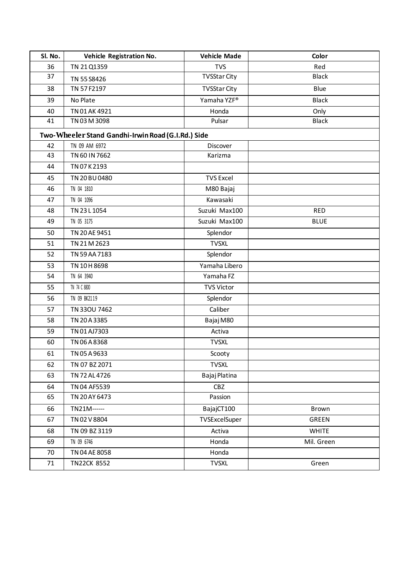| Sl. No.                                            | Vehicle Registration No. | <b>Vehicle Made</b> | Color        |  |  |
|----------------------------------------------------|--------------------------|---------------------|--------------|--|--|
| 36                                                 | TN 21 Q1359              | <b>TVS</b>          | Red          |  |  |
| 37                                                 | TN 55 S8426              | <b>TVSStar City</b> | <b>Black</b> |  |  |
| 38                                                 | TN 57 F2197              | <b>TVSStar City</b> | Blue         |  |  |
| 39                                                 | No Plate                 | Yamaha YZF®         | <b>Black</b> |  |  |
| 40                                                 | TN 01 AK 4921            | Honda               | Only         |  |  |
| 41                                                 | TN 03 M 3098             | Pulsar              | <b>Black</b> |  |  |
| Two-Wheeler Stand Gandhi-Irwin Road (G.I.Rd.) Side |                          |                     |              |  |  |
| 42                                                 | TN 09 AM 6972            | Discover            |              |  |  |
| 43                                                 | TN 60 IN 7662            | Karizma             |              |  |  |
| 44                                                 | TN 07 K 2193             |                     |              |  |  |
| 45                                                 | TN 20 BU 0480            | <b>TVS Excel</b>    |              |  |  |
| 46                                                 | TN 04 1810               | M80 Bajaj           |              |  |  |
| 47                                                 | TN 04 1096               | Kawasaki            |              |  |  |
| 48                                                 | TN 23 L 1054             | Suzuki Max100       | <b>RED</b>   |  |  |
| 49                                                 | TN 05 3175               | Suzuki Max100       | <b>BLUE</b>  |  |  |
| 50                                                 | TN 20 AE 9451            | Splendor            |              |  |  |
| 51                                                 | TN 21 M 2623             | <b>TVSXL</b>        |              |  |  |
| 52                                                 | TN 59 AA 7183            | Splendor            |              |  |  |
| 53                                                 | TN 10H 8698              | Yamaha Libero       |              |  |  |
| 54                                                 | TN 64 3940               | Yamaha FZ           |              |  |  |
| 55                                                 | TN 74 C 8800             | <b>TVS Victor</b>   |              |  |  |
| 56                                                 | TN 09 BK2119             | Splendor            |              |  |  |
| 57                                                 | TN 330U 7462             | Caliber             |              |  |  |
| 58                                                 | TN 20 A 3385             | Bajaj M80           |              |  |  |
| 59                                                 | TN 01 AJ7303             | Activa              |              |  |  |
| 60                                                 | TN 06 A 8368             | <b>TVSXL</b>        |              |  |  |
| 61                                                 | TN 05 A 9633             | Scooty              |              |  |  |
| 62                                                 | TN 07 BZ 2071            | <b>TVSXL</b>        |              |  |  |
| 63                                                 | TN 72 AL 4726            | Bajaj Platina       |              |  |  |
| 64                                                 | TN 04 AF5539             | CBZ                 |              |  |  |
| 65                                                 | TN 20 AY 6473            | Passion             |              |  |  |
| 66                                                 | TN21M------              | BajajCT100          | Brown        |  |  |
| 67                                                 | TN 02 V 8804             | TVSExcelSuper       | GREEN        |  |  |
| 68                                                 | TN 09 BZ 3119            | Activa              | <b>WHITE</b> |  |  |
| 69                                                 | TN 09 6746               | Honda               | Mil. Green   |  |  |
| 70                                                 | TN 04 AE 8058            | Honda               |              |  |  |
| 71                                                 | <b>TN22CK 8552</b>       | <b>TVSXL</b>        | Green        |  |  |